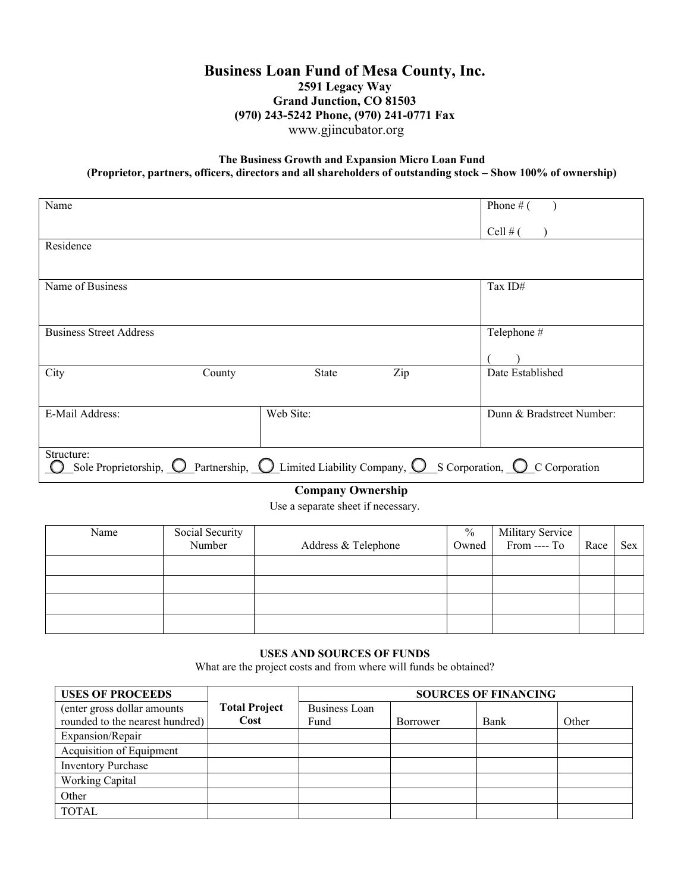# **Business Loan Fund of Mesa County, Inc. 2591 Legacy Way Grand Junction, CO 81503 (970) 243-5242 Phone, (970) 241-0771 Fax** [www.gjincubator.org](http://www.gjincubator.org/)

## **The Business Growth and Expansion Micro Loan Fund (Proprietor, partners, officers, directors and all shareholders of outstanding stock – Show 100% of ownership)**

| Name                                                                                                                                                |              |     | Phone $#$ (               |
|-----------------------------------------------------------------------------------------------------------------------------------------------------|--------------|-----|---------------------------|
|                                                                                                                                                     |              |     | Cell # $($                |
| Residence                                                                                                                                           |              |     |                           |
|                                                                                                                                                     |              |     |                           |
| Name of Business                                                                                                                                    |              |     | Tax ID#                   |
|                                                                                                                                                     |              |     |                           |
| <b>Business Street Address</b>                                                                                                                      |              |     | Telephone #               |
|                                                                                                                                                     |              |     |                           |
| City<br>County                                                                                                                                      | <b>State</b> | Zip | Date Established          |
|                                                                                                                                                     |              |     |                           |
| E-Mail Address:                                                                                                                                     | Web Site:    |     | Dunn & Bradstreet Number: |
|                                                                                                                                                     |              |     |                           |
| Structure:<br>Sole Proprietorship, $\bigcirc$ Partnership, $\bigcirc$ Limited Liability Company, $\bigcirc$ S Corporation, $\bigcirc$ C Corporation |              |     |                           |

## **Company Ownership**

Use a separate sheet if necessary.

| Name | Social Security |                     | $\frac{0}{0}$ | Military Service<br>From ---- To |      |     |
|------|-----------------|---------------------|---------------|----------------------------------|------|-----|
|      | Number          | Address & Telephone | Owned         |                                  | Race | Sex |
|      |                 |                     |               |                                  |      |     |
|      |                 |                     |               |                                  |      |     |
|      |                 |                     |               |                                  |      |     |
|      |                 |                     |               |                                  |      |     |

### **USES AND SOURCES OF FUNDS**

What are the project costs and from where will funds be obtained?

| <b>USES OF PROCEEDS</b>                                         |                              | <b>SOURCES OF FINANCING</b>  |          |      |       |
|-----------------------------------------------------------------|------------------------------|------------------------------|----------|------|-------|
| (enter gross dollar amounts)<br>rounded to the nearest hundred) | <b>Total Project</b><br>Cost | <b>Business Loan</b><br>Fund | Borrower | Bank | Other |
| Expansion/Repair                                                |                              |                              |          |      |       |
| Acquisition of Equipment                                        |                              |                              |          |      |       |
| <b>Inventory Purchase</b>                                       |                              |                              |          |      |       |
| Working Capital                                                 |                              |                              |          |      |       |
| Other                                                           |                              |                              |          |      |       |
| <b>TOTAL</b>                                                    |                              |                              |          |      |       |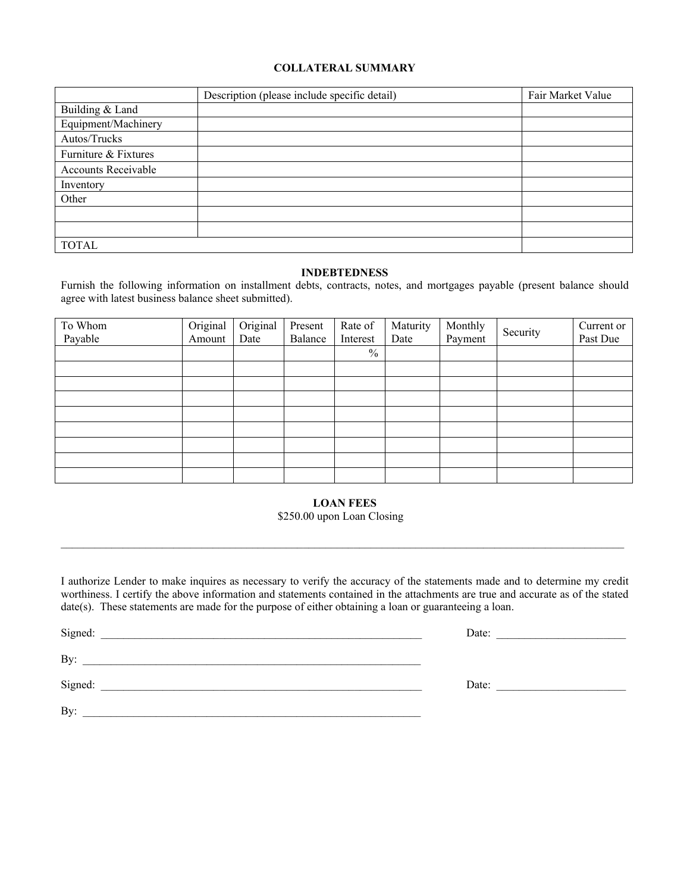#### **COLLATERAL SUMMARY**

|                            | Description (please include specific detail) | Fair Market Value |
|----------------------------|----------------------------------------------|-------------------|
| Building & Land            |                                              |                   |
| Equipment/Machinery        |                                              |                   |
| Autos/Trucks               |                                              |                   |
| Furniture & Fixtures       |                                              |                   |
| <b>Accounts Receivable</b> |                                              |                   |
| Inventory                  |                                              |                   |
| Other                      |                                              |                   |
|                            |                                              |                   |
|                            |                                              |                   |
| <b>TOTAL</b>               |                                              |                   |

## **INDEBTEDNESS**

Furnish the following information on installment debts, contracts, notes, and mortgages payable (present balance should agree with latest business balance sheet submitted).

| To Whom | Original | Original | Present | Rate of       | Maturity | Monthly |          | Current or |
|---------|----------|----------|---------|---------------|----------|---------|----------|------------|
| Payable | Amount   | Date     | Balance | Interest      | Date     | Payment | Security | Past Due   |
|         |          |          |         | $\frac{0}{0}$ |          |         |          |            |
|         |          |          |         |               |          |         |          |            |
|         |          |          |         |               |          |         |          |            |
|         |          |          |         |               |          |         |          |            |
|         |          |          |         |               |          |         |          |            |
|         |          |          |         |               |          |         |          |            |
|         |          |          |         |               |          |         |          |            |
|         |          |          |         |               |          |         |          |            |
|         |          |          |         |               |          |         |          |            |

#### **LOAN FEES**

## \$250.00 upon Loan Closing

\_\_\_\_\_\_\_\_\_\_\_\_\_\_\_\_\_\_\_\_\_\_\_\_\_\_\_\_\_\_\_\_\_\_\_\_\_\_\_\_\_\_\_\_\_\_\_\_\_\_\_\_\_\_\_\_\_\_\_\_\_\_\_\_\_\_\_\_\_\_\_\_\_\_\_\_\_\_\_\_\_\_\_\_\_\_\_\_\_\_\_\_\_\_\_\_\_\_\_\_

I authorize Lender to make inquires as necessary to verify the accuracy of the statements made and to determine my credit worthiness. I certify the above information and statements contained in the attachments are true and accurate as of the stated date(s). These statements are made for the purpose of either obtaining a loan or guaranteeing a loan.

Signed: \_\_\_\_\_\_\_\_\_\_\_\_\_\_\_\_\_\_\_\_\_\_\_\_\_\_\_\_\_\_\_\_\_\_\_\_\_\_\_\_\_\_\_\_\_\_\_\_\_\_\_\_\_\_\_\_\_ Date: \_\_\_\_\_\_\_\_\_\_\_\_\_\_\_\_\_\_\_\_\_\_\_

By: \_\_\_\_\_\_\_\_\_\_\_\_\_\_\_\_\_\_\_\_\_\_\_\_\_\_\_\_\_\_\_\_\_\_\_\_\_\_\_\_\_\_\_\_\_\_\_\_\_\_\_\_\_\_\_\_\_\_\_\_

Signed:  $\Box$ 

By: \_\_\_\_\_\_\_\_\_\_\_\_\_\_\_\_\_\_\_\_\_\_\_\_\_\_\_\_\_\_\_\_\_\_\_\_\_\_\_\_\_\_\_\_\_\_\_\_\_\_\_\_\_\_\_\_\_\_\_\_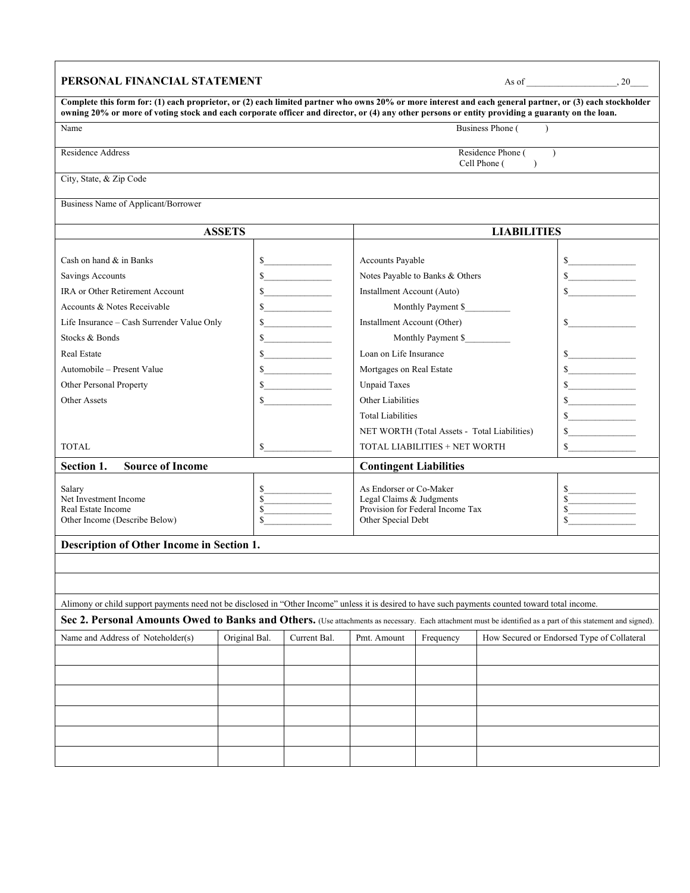| PERSONAL FINANCIAL STATEMENT                                                                                                                                                                                                                                                                                 |                               |                             |                                                              |                                 |                                                    | As of $\qquad \qquad .20$                  |
|--------------------------------------------------------------------------------------------------------------------------------------------------------------------------------------------------------------------------------------------------------------------------------------------------------------|-------------------------------|-----------------------------|--------------------------------------------------------------|---------------------------------|----------------------------------------------------|--------------------------------------------|
| Complete this form for: (1) each proprietor, or (2) each limited partner who owns 20% or more interest and each general partner, or (3) each stockholder<br>owning 20% or more of voting stock and each corporate officer and director, or (4) any other persons or entity providing a guaranty on the loan. |                               |                             |                                                              |                                 |                                                    |                                            |
| Name                                                                                                                                                                                                                                                                                                         |                               |                             |                                                              |                                 | Business Phone (                                   |                                            |
| Residence Address                                                                                                                                                                                                                                                                                            |                               |                             |                                                              |                                 | Residence Phone (<br>Cell Phone (<br>$\rightarrow$ | $\lambda$                                  |
| City, State, & Zip Code                                                                                                                                                                                                                                                                                      |                               |                             |                                                              |                                 |                                                    |                                            |
| Business Name of Applicant/Borrower                                                                                                                                                                                                                                                                          |                               |                             |                                                              |                                 |                                                    |                                            |
|                                                                                                                                                                                                                                                                                                              | <b>ASSETS</b>                 |                             |                                                              |                                 | <b>LIABILITIES</b>                                 |                                            |
| Cash on hand & in Banks<br>Savings Accounts                                                                                                                                                                                                                                                                  |                               | s<br>$\sim$                 | Accounts Payable                                             | Notes Payable to Banks & Others |                                                    | s<br>$\frac{1}{2}$                         |
| <b>IRA</b> or Other Retirement Account                                                                                                                                                                                                                                                                       |                               | $\frac{\sqrt{2}}{2}$        | Installment Account (Auto)                                   |                                 |                                                    | $\sim$                                     |
| Accounts & Notes Receivable                                                                                                                                                                                                                                                                                  |                               | $\sim$                      |                                                              | Monthly Payment \$              |                                                    |                                            |
| Life Insurance – Cash Surrender Value Only                                                                                                                                                                                                                                                                   | \$                            |                             | Installment Account (Other)                                  |                                 |                                                    | $\sim$                                     |
| Stocks & Bonds                                                                                                                                                                                                                                                                                               |                               | $\frac{1}{2}$               |                                                              | Monthly Payment \$              |                                                    |                                            |
| <b>Real Estate</b>                                                                                                                                                                                                                                                                                           |                               | $\sim$                      | Loan on Life Insurance                                       |                                 |                                                    | $\frac{\sqrt{2}}{2}$                       |
| Automobile – Present Value                                                                                                                                                                                                                                                                                   |                               | $\sim$                      | Mortgages on Real Estate                                     |                                 |                                                    | $\sim$                                     |
| Other Personal Property                                                                                                                                                                                                                                                                                      |                               | s                           | <b>Unpaid Taxes</b>                                          |                                 |                                                    | $\frac{1}{2}$                              |
| Other Assets                                                                                                                                                                                                                                                                                                 |                               | $\sim$<br>Other Liabilities |                                                              |                                 | $\sim$                                             |                                            |
|                                                                                                                                                                                                                                                                                                              |                               |                             | <b>Total Liabilities</b>                                     |                                 |                                                    | $\sim$                                     |
|                                                                                                                                                                                                                                                                                                              |                               |                             | NET WORTH (Total Assets - Total Liabilities)                 |                                 |                                                    | $\sim$                                     |
| <b>TOTAL</b>                                                                                                                                                                                                                                                                                                 |                               | $\sim$                      |                                                              | TOTAL LIABILITIES + NET WORTH   |                                                    | $\sim$                                     |
| <b>Source of Income</b><br>Section 1.                                                                                                                                                                                                                                                                        |                               |                             |                                                              | <b>Contingent Liabilities</b>   |                                                    |                                            |
| Salary                                                                                                                                                                                                                                                                                                       | \$                            |                             | As Endorser or Co-Maker                                      |                                 |                                                    | $\sim$                                     |
| Net Investment Income                                                                                                                                                                                                                                                                                        | $\mathbf S$<br>\$             |                             | Legal Claims & Judgments<br>Provision for Federal Income Tax |                                 |                                                    |                                            |
| Real Estate Income<br>Other Income (Describe Below)                                                                                                                                                                                                                                                          | $\mathcal{S}$                 |                             | Other Special Debt                                           |                                 |                                                    |                                            |
| Description of Other Income in Section 1.                                                                                                                                                                                                                                                                    |                               |                             |                                                              |                                 |                                                    |                                            |
|                                                                                                                                                                                                                                                                                                              |                               |                             |                                                              |                                 |                                                    |                                            |
|                                                                                                                                                                                                                                                                                                              |                               |                             |                                                              |                                 |                                                    |                                            |
| Alimony or child support payments need not be disclosed in "Other Income" unless it is desired to have such payments counted toward total income.                                                                                                                                                            |                               |                             |                                                              |                                 |                                                    |                                            |
| Sec 2. Personal Amounts Owed to Banks and Others. (Use attachments as necessary. Each attachment must be identified as a part of this statement and signed).                                                                                                                                                 |                               |                             |                                                              |                                 |                                                    |                                            |
| Name and Address of Noteholder(s)                                                                                                                                                                                                                                                                            | Original Bal.<br>Current Bal. |                             | Pmt. Amount                                                  | Frequency                       |                                                    | How Secured or Endorsed Type of Collateral |
|                                                                                                                                                                                                                                                                                                              |                               |                             |                                                              |                                 |                                                    |                                            |
|                                                                                                                                                                                                                                                                                                              |                               |                             |                                                              |                                 |                                                    |                                            |
|                                                                                                                                                                                                                                                                                                              |                               |                             |                                                              |                                 |                                                    |                                            |
|                                                                                                                                                                                                                                                                                                              |                               |                             |                                                              |                                 |                                                    |                                            |
|                                                                                                                                                                                                                                                                                                              |                               |                             |                                                              |                                 |                                                    |                                            |
|                                                                                                                                                                                                                                                                                                              |                               |                             |                                                              |                                 |                                                    |                                            |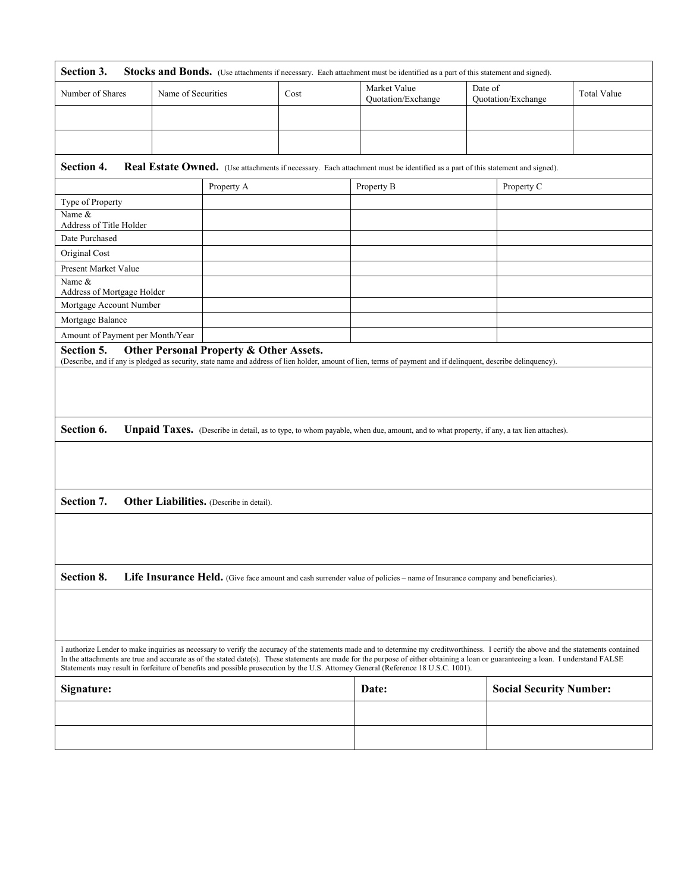| Section 3.<br>Stocks and Bonds. (Use attachments if necessary. Each attachment must be identified as a part of this statement and signed).                                                                                                                                                                                                                                                                                                                                                                        |                                         |                                                                                                                                                                 |                                    |                                |                    |
|-------------------------------------------------------------------------------------------------------------------------------------------------------------------------------------------------------------------------------------------------------------------------------------------------------------------------------------------------------------------------------------------------------------------------------------------------------------------------------------------------------------------|-----------------------------------------|-----------------------------------------------------------------------------------------------------------------------------------------------------------------|------------------------------------|--------------------------------|--------------------|
| Number of Shares                                                                                                                                                                                                                                                                                                                                                                                                                                                                                                  | Name of Securities                      | Cost                                                                                                                                                            | Market Value<br>Quotation/Exchange | Date of<br>Quotation/Exchange  | <b>Total Value</b> |
|                                                                                                                                                                                                                                                                                                                                                                                                                                                                                                                   |                                         |                                                                                                                                                                 |                                    |                                |                    |
|                                                                                                                                                                                                                                                                                                                                                                                                                                                                                                                   |                                         |                                                                                                                                                                 |                                    |                                |                    |
|                                                                                                                                                                                                                                                                                                                                                                                                                                                                                                                   |                                         |                                                                                                                                                                 |                                    |                                |                    |
| Section 4.                                                                                                                                                                                                                                                                                                                                                                                                                                                                                                        |                                         | Real Estate Owned. (Use attachments if necessary. Each attachment must be identified as a part of this statement and signed).                                   |                                    |                                |                    |
|                                                                                                                                                                                                                                                                                                                                                                                                                                                                                                                   | Property A                              |                                                                                                                                                                 | Property B                         | Property C                     |                    |
| Type of Property                                                                                                                                                                                                                                                                                                                                                                                                                                                                                                  |                                         |                                                                                                                                                                 |                                    |                                |                    |
| Name &<br>Address of Title Holder                                                                                                                                                                                                                                                                                                                                                                                                                                                                                 |                                         |                                                                                                                                                                 |                                    |                                |                    |
| Date Purchased                                                                                                                                                                                                                                                                                                                                                                                                                                                                                                    |                                         |                                                                                                                                                                 |                                    |                                |                    |
| Original Cost                                                                                                                                                                                                                                                                                                                                                                                                                                                                                                     |                                         |                                                                                                                                                                 |                                    |                                |                    |
| Present Market Value                                                                                                                                                                                                                                                                                                                                                                                                                                                                                              |                                         |                                                                                                                                                                 |                                    |                                |                    |
| Name &                                                                                                                                                                                                                                                                                                                                                                                                                                                                                                            |                                         |                                                                                                                                                                 |                                    |                                |                    |
| Address of Mortgage Holder                                                                                                                                                                                                                                                                                                                                                                                                                                                                                        |                                         |                                                                                                                                                                 |                                    |                                |                    |
| Mortgage Account Number                                                                                                                                                                                                                                                                                                                                                                                                                                                                                           |                                         |                                                                                                                                                                 |                                    |                                |                    |
| Mortgage Balance                                                                                                                                                                                                                                                                                                                                                                                                                                                                                                  |                                         |                                                                                                                                                                 |                                    |                                |                    |
| Amount of Payment per Month/Year                                                                                                                                                                                                                                                                                                                                                                                                                                                                                  |                                         |                                                                                                                                                                 |                                    |                                |                    |
| Section 5.                                                                                                                                                                                                                                                                                                                                                                                                                                                                                                        | Other Personal Property & Other Assets. | (Describe, and if any is pledged as security, state name and address of lien holder, amount of lien, terms of payment and if delinquent, describe delinquency). |                                    |                                |                    |
|                                                                                                                                                                                                                                                                                                                                                                                                                                                                                                                   |                                         |                                                                                                                                                                 |                                    |                                |                    |
|                                                                                                                                                                                                                                                                                                                                                                                                                                                                                                                   |                                         |                                                                                                                                                                 |                                    |                                |                    |
|                                                                                                                                                                                                                                                                                                                                                                                                                                                                                                                   |                                         |                                                                                                                                                                 |                                    |                                |                    |
|                                                                                                                                                                                                                                                                                                                                                                                                                                                                                                                   |                                         |                                                                                                                                                                 |                                    |                                |                    |
| Section 6.<br><b>Unpaid Taxes.</b> (Describe in detail, as to type, to whom payable, when due, amount, and to what property, if any, a tax lien attaches).                                                                                                                                                                                                                                                                                                                                                        |                                         |                                                                                                                                                                 |                                    |                                |                    |
|                                                                                                                                                                                                                                                                                                                                                                                                                                                                                                                   |                                         |                                                                                                                                                                 |                                    |                                |                    |
|                                                                                                                                                                                                                                                                                                                                                                                                                                                                                                                   |                                         |                                                                                                                                                                 |                                    |                                |                    |
|                                                                                                                                                                                                                                                                                                                                                                                                                                                                                                                   |                                         |                                                                                                                                                                 |                                    |                                |                    |
|                                                                                                                                                                                                                                                                                                                                                                                                                                                                                                                   |                                         |                                                                                                                                                                 |                                    |                                |                    |
| Section 7.<br>Other Liabilities. (Describe in detail).                                                                                                                                                                                                                                                                                                                                                                                                                                                            |                                         |                                                                                                                                                                 |                                    |                                |                    |
|                                                                                                                                                                                                                                                                                                                                                                                                                                                                                                                   |                                         |                                                                                                                                                                 |                                    |                                |                    |
|                                                                                                                                                                                                                                                                                                                                                                                                                                                                                                                   |                                         |                                                                                                                                                                 |                                    |                                |                    |
|                                                                                                                                                                                                                                                                                                                                                                                                                                                                                                                   |                                         |                                                                                                                                                                 |                                    |                                |                    |
|                                                                                                                                                                                                                                                                                                                                                                                                                                                                                                                   |                                         |                                                                                                                                                                 |                                    |                                |                    |
| Section 8.                                                                                                                                                                                                                                                                                                                                                                                                                                                                                                        |                                         | Life Insurance Held. (Give face amount and cash surrender value of policies - name of Insurance company and beneficiaries).                                     |                                    |                                |                    |
|                                                                                                                                                                                                                                                                                                                                                                                                                                                                                                                   |                                         |                                                                                                                                                                 |                                    |                                |                    |
|                                                                                                                                                                                                                                                                                                                                                                                                                                                                                                                   |                                         |                                                                                                                                                                 |                                    |                                |                    |
|                                                                                                                                                                                                                                                                                                                                                                                                                                                                                                                   |                                         |                                                                                                                                                                 |                                    |                                |                    |
|                                                                                                                                                                                                                                                                                                                                                                                                                                                                                                                   |                                         |                                                                                                                                                                 |                                    |                                |                    |
| I authorize Lender to make inquiries as necessary to verify the accuracy of the statements made and to determine my creditworthiness. I certify the above and the statements contained<br>In the attachments are true and accurate as of the stated date(s). These statements are made for the purpose of either obtaining a loan or guaranteeing a loan. I understand FALSE<br>Statements may result in forfeiture of benefits and possible prosecution by the U.S. Attorney General (Reference 18 U.S.C. 1001). |                                         |                                                                                                                                                                 |                                    |                                |                    |
| Signature:                                                                                                                                                                                                                                                                                                                                                                                                                                                                                                        |                                         |                                                                                                                                                                 | Date:                              | <b>Social Security Number:</b> |                    |
|                                                                                                                                                                                                                                                                                                                                                                                                                                                                                                                   |                                         |                                                                                                                                                                 |                                    |                                |                    |
|                                                                                                                                                                                                                                                                                                                                                                                                                                                                                                                   |                                         |                                                                                                                                                                 |                                    |                                |                    |
|                                                                                                                                                                                                                                                                                                                                                                                                                                                                                                                   |                                         |                                                                                                                                                                 |                                    |                                |                    |